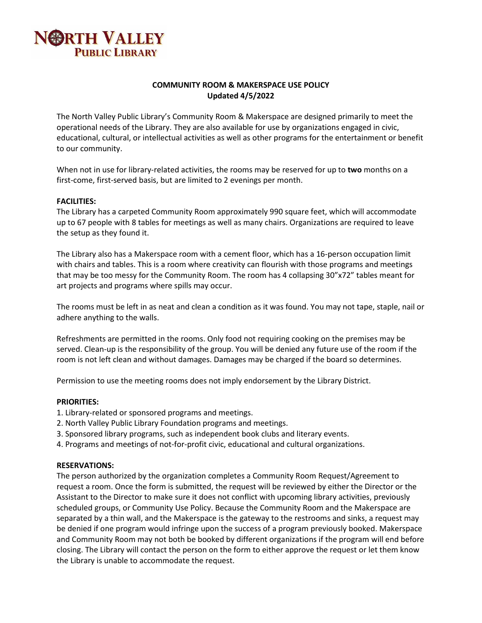

# **COMMUNITY ROOM & MAKERSPACE USE POLICY Updated 4/5/2022**

The North Valley Public Library's Community Room & Makerspace are designed primarily to meet the operational needs of the Library. They are also available for use by organizations engaged in civic, educational, cultural, or intellectual activities as well as other programs for the entertainment or benefit to our community.

When not in use for library-related activities, the rooms may be reserved for up to **two** months on a first-come, first-served basis, but are limited to 2 evenings per month.

#### **FACILITIES:**

The Library has a carpeted Community Room approximately 990 square feet, which will accommodate up to 67 people with 8 tables for meetings as well as many chairs. Organizations are required to leave the setup as they found it.

The Library also has a Makerspace room with a cement floor, which has a 16-person occupation limit with chairs and tables. This is a room where creativity can flourish with those programs and meetings that may be too messy for the Community Room. The room has 4 collapsing 30"x72" tables meant for art projects and programs where spills may occur.

The rooms must be left in as neat and clean a condition as it was found. You may not tape, staple, nail or adhere anything to the walls.

Refreshments are permitted in the rooms. Only food not requiring cooking on the premises may be served. Clean-up is the responsibility of the group. You will be denied any future use of the room if the room is not left clean and without damages. Damages may be charged if the board so determines.

Permission to use the meeting rooms does not imply endorsement by the Library District.

#### **PRIORITIES:**

- 1. Library-related or sponsored programs and meetings.
- 2. North Valley Public Library Foundation programs and meetings.
- 3. Sponsored library programs, such as independent book clubs and literary events.
- 4. Programs and meetings of not‐for‐profit civic, educational and cultural organizations.

#### **RESERVATIONS:**

The person authorized by the organization completes a Community Room Request/Agreement to request a room. Once the form is submitted, the request will be reviewed by either the Director or the Assistant to the Director to make sure it does not conflict with upcoming library activities, previously scheduled groups, or Community Use Policy. Because the Community Room and the Makerspace are separated by a thin wall, and the Makerspace is the gateway to the restrooms and sinks, a request may be denied if one program would infringe upon the success of a program previously booked. Makerspace and Community Room may not both be booked by different organizations if the program will end before closing. The Library will contact the person on the form to either approve the request or let them know the Library is unable to accommodate the request.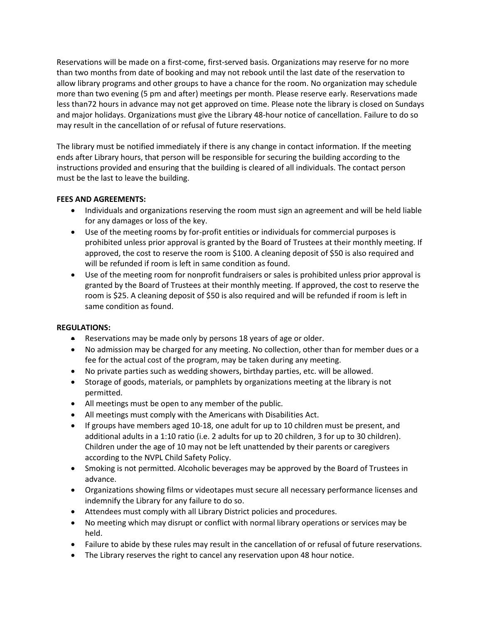Reservations will be made on a first-come, first-served basis. Organizations may reserve for no more than two months from date of booking and may not rebook until the last date of the reservation to allow library programs and other groups to have a chance for the room. No organization may schedule more than two evening (5 pm and after) meetings per month. Please reserve early. Reservations made less than72 hours in advance may not get approved on time. Please note the library is closed on Sundays and major holidays. Organizations must give the Library 48-hour notice of cancellation. Failure to do so may result in the cancellation of or refusal of future reservations.

The library must be notified immediately if there is any change in contact information. If the meeting ends after Library hours, that person will be responsible for securing the building according to the instructions provided and ensuring that the building is cleared of all individuals. The contact person must be the last to leave the building.

# **FEES AND AGREEMENTS:**

- Individuals and organizations reserving the room must sign an agreement and will be held liable for any damages or loss of the key.
- Use of the meeting rooms by for-profit entities or individuals for commercial purposes is prohibited unless prior approval is granted by the Board of Trustees at their monthly meeting. If approved, the cost to reserve the room is \$100. A cleaning deposit of \$50 is also required and will be refunded if room is left in same condition as found.
- Use of the meeting room for nonprofit fundraisers or sales is prohibited unless prior approval is granted by the Board of Trustees at their monthly meeting. If approved, the cost to reserve the room is \$25. A cleaning deposit of \$50 is also required and will be refunded if room is left in same condition as found.

### **REGULATIONS:**

- **EXE** Reservations may be made only by persons 18 years of age or older.
- No admission may be charged for any meeting. No collection, other than for member dues or a fee for the actual cost of the program, may be taken during any meeting.
- No private parties such as wedding showers, birthday parties, etc. will be allowed.
- Storage of goods, materials, or pamphlets by organizations meeting at the library is not permitted.
- All meetings must be open to any member of the public.
- All meetings must comply with the Americans with Disabilities Act.
- If groups have members aged 10-18, one adult for up to 10 children must be present, and additional adults in a 1:10 ratio (i.e. 2 adults for up to 20 children, 3 for up to 30 children). Children under the age of 10 may not be left unattended by their parents or caregivers according to the NVPL Child Safety Policy.
- Smoking is not permitted. Alcoholic beverages may be approved by the Board of Trustees in advance.
- Organizations showing films or videotapes must secure all necessary performance licenses and indemnify the Library for any failure to do so.
- Attendees must comply with all Library District policies and procedures.
- No meeting which may disrupt or conflict with normal library operations or services may be held.
- Failure to abide by these rules may result in the cancellation of or refusal of future reservations.
- The Library reserves the right to cancel any reservation upon 48 hour notice.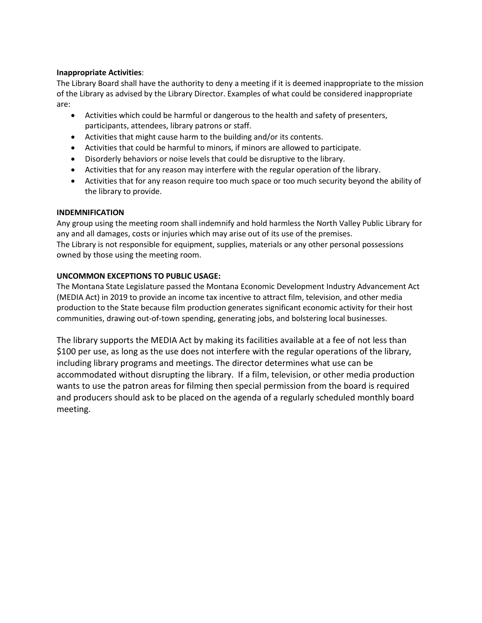### **Inappropriate Activities**:

The Library Board shall have the authority to deny a meeting if it is deemed inappropriate to the mission of the Library as advised by the Library Director. Examples of what could be considered inappropriate are:

- Activities which could be harmful or dangerous to the health and safety of presenters, participants, attendees, library patrons or staff.
- Activities that might cause harm to the building and/or its contents.
- Activities that could be harmful to minors, if minors are allowed to participate.
- Disorderly behaviors or noise levels that could be disruptive to the library.
- Activities that for any reason may interfere with the regular operation of the library.
- Activities that for any reason require too much space or too much security beyond the ability of the library to provide.

### **INDEMNIFICATION**

Any group using the meeting room shall indemnify and hold harmless the North Valley Public Library for any and all damages, costs or injuries which may arise out of its use of the premises. The Library is not responsible for equipment, supplies, materials or any other personal possessions owned by those using the meeting room.

### **UNCOMMON EXCEPTIONS TO PUBLIC USAGE:**

The Montana State Legislature passed the Montana Economic Development Industry Advancement Act (MEDIA Act) in 2019 to provide an income tax incentive to attract film, television, and other media production to the State because film production generates significant economic activity for their host communities, drawing out-of-town spending, generating jobs, and bolstering local businesses.

The library supports the MEDIA Act by making its facilities available at a fee of not less than \$100 per use, as long as the use does not interfere with the regular operations of the library, including library programs and meetings. The director determines what use can be accommodated without disrupting the library. If a film, television, or other media production wants to use the patron areas for filming then special permission from the board is required and producers should ask to be placed on the agenda of a regularly scheduled monthly board meeting.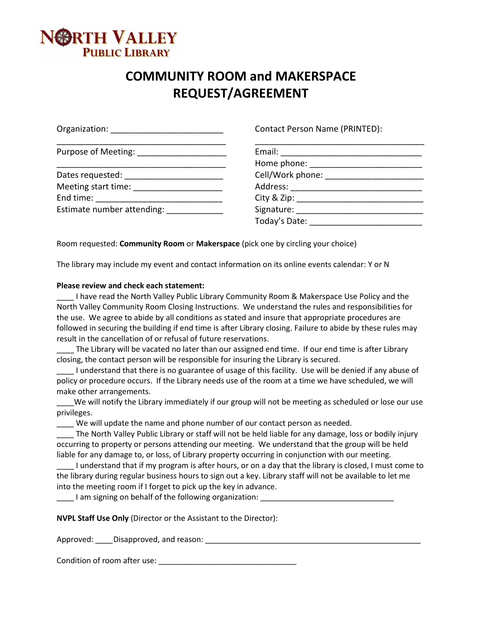

# **COMMUNITY ROOM and MAKERSPACE REQUEST/AGREEMENT**

| Organization: Nation and Container and Container and Container | Contact Person Name (PRINTED):                                                                                                                                                                                                 |
|----------------------------------------------------------------|--------------------------------------------------------------------------------------------------------------------------------------------------------------------------------------------------------------------------------|
|                                                                |                                                                                                                                                                                                                                |
|                                                                |                                                                                                                                                                                                                                |
| Dates requested: _______________________                       |                                                                                                                                                                                                                                |
| Meeting start time: Network and the Meeting start              |                                                                                                                                                                                                                                |
| End time: _______________________________                      |                                                                                                                                                                                                                                |
| Estimate number attending:                                     | Signature: The Commission of the Commission of the Commission of the Commission of the Commission of the Commission of the Commission of the Commission of the Commission of the Commission of the Commission of the Commissio |
|                                                                | Today's Date:                                                                                                                                                                                                                  |

Room requested: **Community Room** or **Makerspace** (pick one by circling your choice)

The library may include my event and contact information on its online events calendar: Y or N

#### **Please review and check each statement:**

I have read the North Valley Public Library Community Room & Makerspace Use Policy and the North Valley Community Room Closing Instructions. We understand the rules and responsibilities for the use. We agree to abide by all conditions as stated and insure that appropriate procedures are followed in securing the building if end time is after Library closing. Failure to abide by these rules may result in the cancellation of or refusal of future reservations.

The Library will be vacated no later than our assigned end time. If our end time is after Library closing, the contact person will be responsible for insuring the Library is secured.

\_\_\_\_ I understand that there is no guarantee of usage of this facility. Use will be denied if any abuse of policy or procedure occurs. If the Library needs use of the room at a time we have scheduled, we will make other arrangements.

\_\_\_\_We will notify the Library immediately if our group will not be meeting as scheduled or lose our use privileges.

\_\_\_\_ We will update the name and phone number of our contact person as needed.

\_\_\_\_ The North Valley Public Library or staff will not be held liable for any damage, loss or bodily injury occurring to property or persons attending our meeting. We understand that the group will be held liable for any damage to, or loss, of Library property occurring in conjunction with our meeting.

I understand that if my program is after hours, or on a day that the library is closed, I must come to the library during regular business hours to sign out a key. Library staff will not be available to let me into the meeting room if I forget to pick up the key in advance.

I am signing on behalf of the following organization:

**NVPL Staff Use Only** (Director or the Assistant to the Director):

Approved: \_\_\_\_Disapproved, and reason: \_\_\_\_\_\_\_\_\_\_\_\_\_\_\_\_\_\_\_\_\_\_\_\_\_\_\_\_\_\_\_\_\_\_\_\_\_\_\_\_\_\_\_\_\_\_\_\_\_\_

Condition of room after use: \_\_\_\_\_\_\_\_\_\_\_\_\_\_\_\_\_\_\_\_\_\_\_\_\_\_\_\_\_\_\_\_